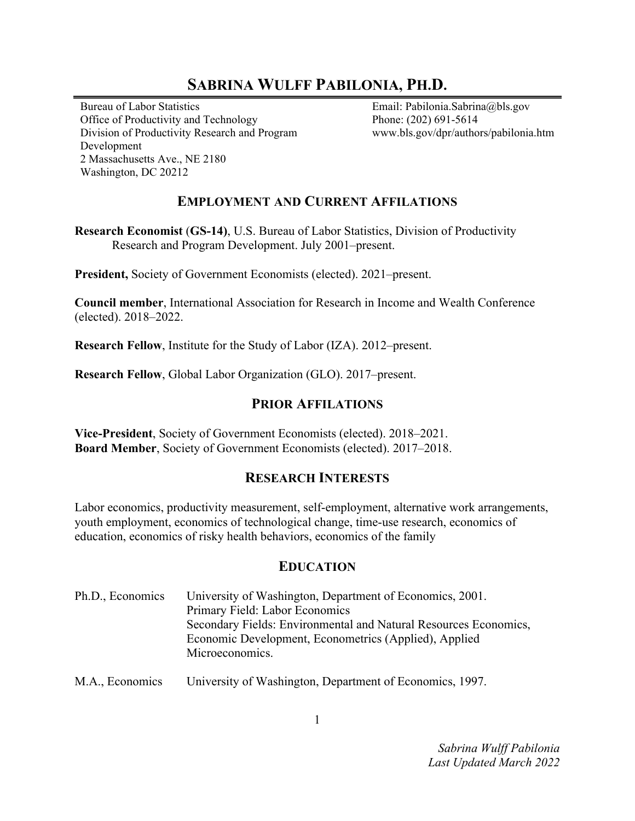# **SABRINA WULFF PABILONIA, PH.D.**

Bureau of Labor Statistics Office of Productivity and Technology Division of Productivity Research and Program Development 2 Massachusetts Ave., NE 2180 Washington, DC 20212

Email: Pabilonia.Sabrina@bls.gov Phone: (202) 691-5614 www.bls.gov/dpr/authors/pabilonia.htm

# **EMPLOYMENT AND CURRENT AFFILATIONS**

**Research Economist** (**GS-14)**, U.S. Bureau of Labor Statistics, Division of Productivity Research and Program Development. July 2001–present.

**President,** Society of Government Economists (elected). 2021–present.

**Council member**, International Association for Research in Income and Wealth Conference (elected). 2018–2022.

**Research Fellow**, Institute for the Study of Labor (IZA). 2012–present.

**Research Fellow**, Global Labor Organization (GLO). 2017–present.

#### **PRIOR AFFILATIONS**

**Vice-President**, Society of Government Economists (elected). 2018–2021. **Board Member**, Society of Government Economists (elected). 2017–2018.

## **RESEARCH INTERESTS**

Labor economics, productivity measurement, self-employment, alternative work arrangements, youth employment, economics of technological change, time-use research, economics of education, economics of risky health behaviors, economics of the family

## **EDUCATION**

| Ph.D., Economics | University of Washington, Department of Economics, 2001.         |
|------------------|------------------------------------------------------------------|
|                  | Primary Field: Labor Economics                                   |
|                  | Secondary Fields: Environmental and Natural Resources Economics, |
|                  | Economic Development, Econometrics (Applied), Applied            |
|                  | Microeconomics.                                                  |
|                  |                                                                  |

M.A., Economics University of Washington, Department of Economics, 1997.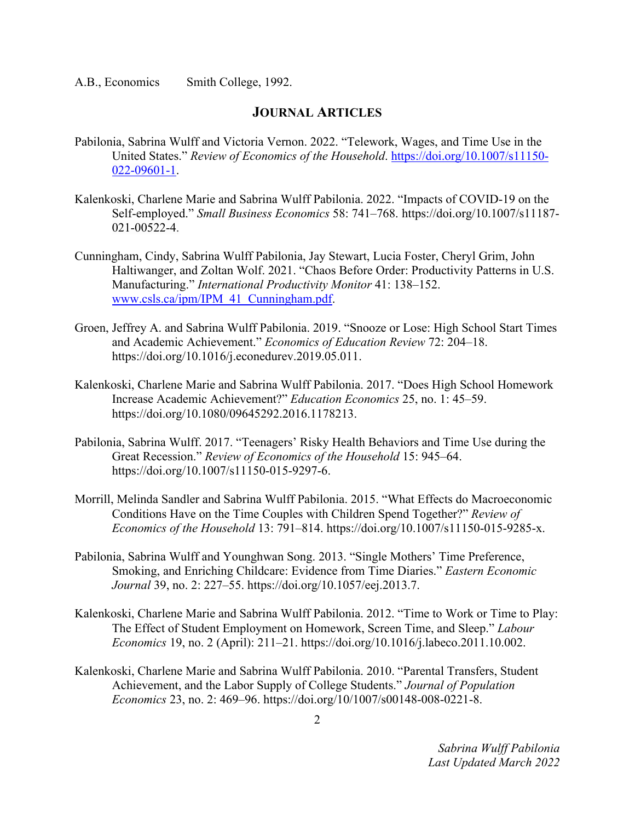A.B., EconomicsSmith College, 1992.

#### **JOURNAL ARTICLES**

- Pabilonia, Sabrina Wulff and Victoria Vernon. 2022. "Telework, Wages, and Time Use in the United States." *Review of Economics of the Household*. https://doi.org/10.1007/s11150- 022-09601-1.
- Kalenkoski, Charlene Marie and Sabrina Wulff Pabilonia. 2022. "Impacts of COVID-19 on the Self-employed." *Small Business Economics* 58: 741–768. https://doi.org/10.1007/s11187- 021-00522-4.
- Cunningham, Cindy, Sabrina Wulff Pabilonia, Jay Stewart, Lucia Foster, Cheryl Grim, John Haltiwanger, and Zoltan Wolf. 2021. "Chaos Before Order: Productivity Patterns in U.S. Manufacturing." *International Productivity Monitor* 41: 138–152. www.csls.ca/ipm/IPM\_41\_Cunningham.pdf.
- Groen, Jeffrey A. and Sabrina Wulff Pabilonia. 2019. "Snooze or Lose: High School Start Times and Academic Achievement." *Economics of Education Review* 72: 204–18. https://doi.org/10.1016/j.econedurev.2019.05.011.
- Kalenkoski, Charlene Marie and Sabrina Wulff Pabilonia. 2017. "Does High School Homework Increase Academic Achievement?" *Education Economics* 25, no. 1: 45–59. https://doi.org/10.1080/09645292.2016.1178213.
- Pabilonia, Sabrina Wulff. 2017. "Teenagers' Risky Health Behaviors and Time Use during the Great Recession." *Review of Economics of the Household* 15: 945*–*64. https://doi.org/10.1007/s11150-015-9297-6.
- Morrill, Melinda Sandler and Sabrina Wulff Pabilonia. 2015. "What Effects do Macroeconomic Conditions Have on the Time Couples with Children Spend Together?" *Review of Economics of the Household* 13: 791*–*814. https://doi.org/10.1007/s11150-015-9285-x.
- Pabilonia, Sabrina Wulff and Younghwan Song. 2013. "Single Mothers' Time Preference, Smoking, and Enriching Childcare: Evidence from Time Diaries." *Eastern Economic Journal* 39, no. 2: 227*–*55. https://doi.org/10.1057/eej.2013.7.
- Kalenkoski, Charlene Marie and Sabrina Wulff Pabilonia. 2012. "Time to Work or Time to Play: The Effect of Student Employment on Homework, Screen Time, and Sleep." *Labour Economics* 19, no. 2 (April): 211*–*21. https://doi.org/10.1016/j.labeco.2011.10.002.
- Kalenkoski, Charlene Marie and Sabrina Wulff Pabilonia. 2010. "Parental Transfers, Student Achievement, and the Labor Supply of College Students." *Journal of Population Economics* 23, no. 2: 469*–*96. https://doi.org/10/1007/s00148-008-0221-8.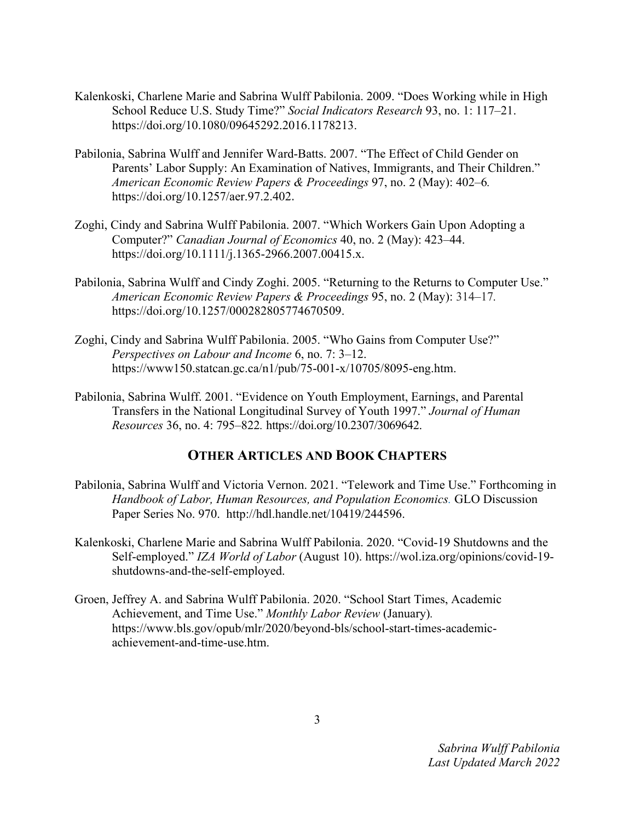- Kalenkoski, Charlene Marie and Sabrina Wulff Pabilonia. 2009. "Does Working while in High School Reduce U.S. Study Time?" *Social Indicators Research* 93, no. 1: 117*–*21. https://doi.org/10.1080/09645292.2016.1178213.
- Pabilonia, Sabrina Wulff and Jennifer Ward-Batts. 2007. "The Effect of Child Gender on Parents' Labor Supply: An Examination of Natives, Immigrants, and Their Children." *American Economic Review Papers & Proceedings* 97, no. 2 (May): 402*–*6*.*  https://doi.org/10.1257/aer.97.2.402.
- Zoghi, Cindy and Sabrina Wulff Pabilonia. 2007. "Which Workers Gain Upon Adopting a Computer?" *Canadian Journal of Economics* 40, no. 2 (May): 423*–*44. https://doi.org/10.1111/j.1365-2966.2007.00415.x.
- Pabilonia, Sabrina Wulff and Cindy Zoghi. 2005. "Returning to the Returns to Computer Use." *American Economic Review Papers & Proceedings* 95, no. 2 (May): 314*–*17*.*  https://doi.org/10.1257/000282805774670509.
- Zoghi, Cindy and Sabrina Wulff Pabilonia. 2005. "Who Gains from Computer Use?" *Perspectives on Labour and Income* 6, no. 7: 3*–*12. https://www150.statcan.gc.ca/n1/pub/75-001-x/10705/8095-eng.htm.
- Pabilonia, Sabrina Wulff. 2001. "Evidence on Youth Employment, Earnings, and Parental Transfers in the National Longitudinal Survey of Youth 1997." *Journal of Human Resources* 36, no. 4: 795–822*.* https://doi.org/10.2307/3069642.

## **OTHER ARTICLES AND BOOK CHAPTERS**

- Pabilonia, Sabrina Wulff and Victoria Vernon. 2021. "Telework and Time Use." Forthcoming in *Handbook of Labor, Human Resources, and Population Economics.* GLO Discussion Paper Series No. 970. http://hdl.handle.net/10419/244596.
- Kalenkoski, Charlene Marie and Sabrina Wulff Pabilonia. 2020. "Covid-19 Shutdowns and the Self-employed." *IZA World of Labor* (August 10). https://wol.iza.org/opinions/covid-19 shutdowns-and-the-self-employed.
- Groen, Jeffrey A. and Sabrina Wulff Pabilonia. 2020. "School Start Times, Academic Achievement, and Time Use." *Monthly Labor Review* (January)*.*  https://www.bls.gov/opub/mlr/2020/beyond-bls/school-start-times-academicachievement-and-time-use.htm.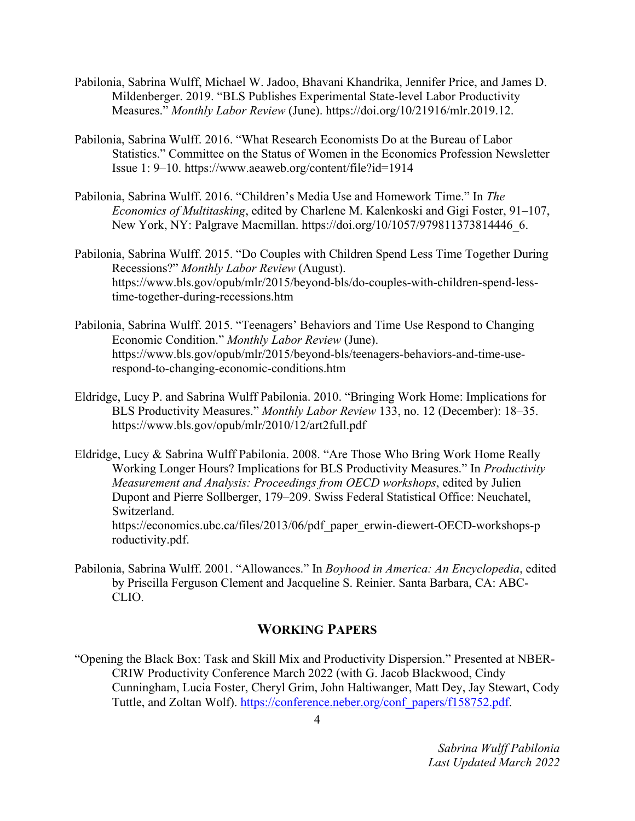- Pabilonia, Sabrina Wulff, Michael W. Jadoo, Bhavani Khandrika, Jennifer Price, and James D. Mildenberger. 2019. "BLS Publishes Experimental State-level Labor Productivity Measures." *Monthly Labor Review* (June). https://doi.org/10/21916/mlr.2019.12.
- Pabilonia, Sabrina Wulff. 2016. "What Research Economists Do at the Bureau of Labor Statistics." Committee on the Status of Women in the Economics Profession Newsletter Issue 1: 9–10. https://www.aeaweb.org/content/file?id=1914
- Pabilonia, Sabrina Wulff. 2016. "Children's Media Use and Homework Time." In *The Economics of Multitasking*, edited by Charlene M. Kalenkoski and Gigi Foster, 91–107, New York, NY: Palgrave Macmillan. https://doi.org/10/1057/979811373814446\_6.
- Pabilonia, Sabrina Wulff. 2015. "Do Couples with Children Spend Less Time Together During Recessions?" *Monthly Labor Review* (August). https://www.bls.gov/opub/mlr/2015/beyond-bls/do-couples-with-children-spend-lesstime-together-during-recessions.htm
- Pabilonia, Sabrina Wulff. 2015. "Teenagers' Behaviors and Time Use Respond to Changing Economic Condition." *Monthly Labor Review* (June). https://www.bls.gov/opub/mlr/2015/beyond-bls/teenagers-behaviors-and-time-userespond-to-changing-economic-conditions.htm
- Eldridge, Lucy P. and Sabrina Wulff Pabilonia. 2010. "Bringing Work Home: Implications for BLS Productivity Measures." *Monthly Labor Review* 133, no. 12 (December): 18*–*35. https://www.bls.gov/opub/mlr/2010/12/art2full.pdf
- Eldridge, Lucy & Sabrina Wulff Pabilonia. 2008. "Are Those Who Bring Work Home Really Working Longer Hours? Implications for BLS Productivity Measures." In *Productivity Measurement and Analysis: Proceedings from OECD workshops*, edited by Julien Dupont and Pierre Sollberger, 179–209. Swiss Federal Statistical Office: Neuchatel, Switzerland. https://economics.ubc.ca/files/2013/06/pdf\_paper\_erwin-diewert-OECD-workshops-p roductivity.pdf.
- Pabilonia, Sabrina Wulff. 2001. "Allowances." In *Boyhood in America: An Encyclopedia*, edited by Priscilla Ferguson Clement and Jacqueline S. Reinier. Santa Barbara, CA: ABC-CLIO.

# **WORKING PAPERS**

"Opening the Black Box: Task and Skill Mix and Productivity Dispersion." Presented at NBER-CRIW Productivity Conference March 2022 (with G. Jacob Blackwood, Cindy Cunningham, Lucia Foster, Cheryl Grim, John Haltiwanger, Matt Dey, Jay Stewart, Cody Tuttle, and Zoltan Wolf). https://conference.neber.org/conf\_papers/f158752.pdf.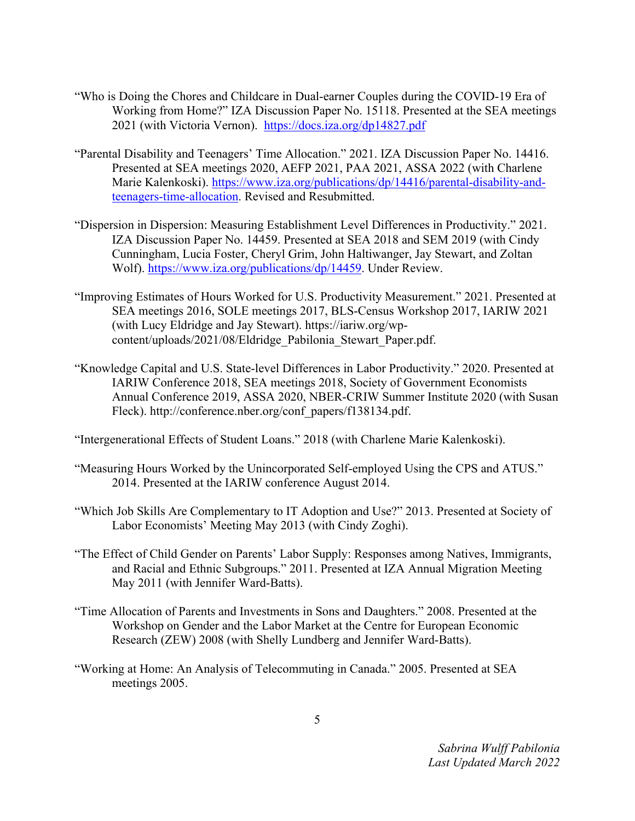- "Who is Doing the Chores and Childcare in Dual-earner Couples during the COVID-19 Era of Working from Home?" IZA Discussion Paper No. 15118. Presented at the SEA meetings 2021 (with Victoria Vernon). https://docs.iza.org/dp14827.pdf
- "Parental Disability and Teenagers' Time Allocation." 2021. IZA Discussion Paper No. 14416. Presented at SEA meetings 2020, AEFP 2021, PAA 2021, ASSA 2022 (with Charlene Marie Kalenkoski). https://www.iza.org/publications/dp/14416/parental-disability-andteenagers-time-allocation. Revised and Resubmitted.
- "Dispersion in Dispersion: Measuring Establishment Level Differences in Productivity." 2021. IZA Discussion Paper No. 14459. Presented at SEA 2018 and SEM 2019 (with Cindy Cunningham, Lucia Foster, Cheryl Grim, John Haltiwanger, Jay Stewart, and Zoltan Wolf). https://www.iza.org/publications/dp/14459. Under Review.
- "Improving Estimates of Hours Worked for U.S. Productivity Measurement." 2021. Presented at SEA meetings 2016, SOLE meetings 2017, BLS-Census Workshop 2017, IARIW 2021 (with Lucy Eldridge and Jay Stewart). https://iariw.org/wpcontent/uploads/2021/08/Eldridge\_Pabilonia\_Stewart\_Paper.pdf.
- "Knowledge Capital and U.S. State-level Differences in Labor Productivity." 2020. Presented at IARIW Conference 2018, SEA meetings 2018, Society of Government Economists Annual Conference 2019, ASSA 2020, NBER-CRIW Summer Institute 2020 (with Susan Fleck). http://conference.nber.org/conf\_papers/f138134.pdf.

"Intergenerational Effects of Student Loans." 2018 (with Charlene Marie Kalenkoski).

- "Measuring Hours Worked by the Unincorporated Self-employed Using the CPS and ATUS." 2014. Presented at the IARIW conference August 2014.
- "Which Job Skills Are Complementary to IT Adoption and Use?" 2013. Presented at Society of Labor Economists' Meeting May 2013 (with Cindy Zoghi).
- "The Effect of Child Gender on Parents' Labor Supply: Responses among Natives, Immigrants, and Racial and Ethnic Subgroups." 2011. Presented at IZA Annual Migration Meeting May 2011 (with Jennifer Ward-Batts).
- "Time Allocation of Parents and Investments in Sons and Daughters." 2008. Presented at the Workshop on Gender and the Labor Market at the Centre for European Economic Research (ZEW) 2008 (with Shelly Lundberg and Jennifer Ward-Batts).
- "Working at Home: An Analysis of Telecommuting in Canada." 2005. Presented at SEA meetings 2005.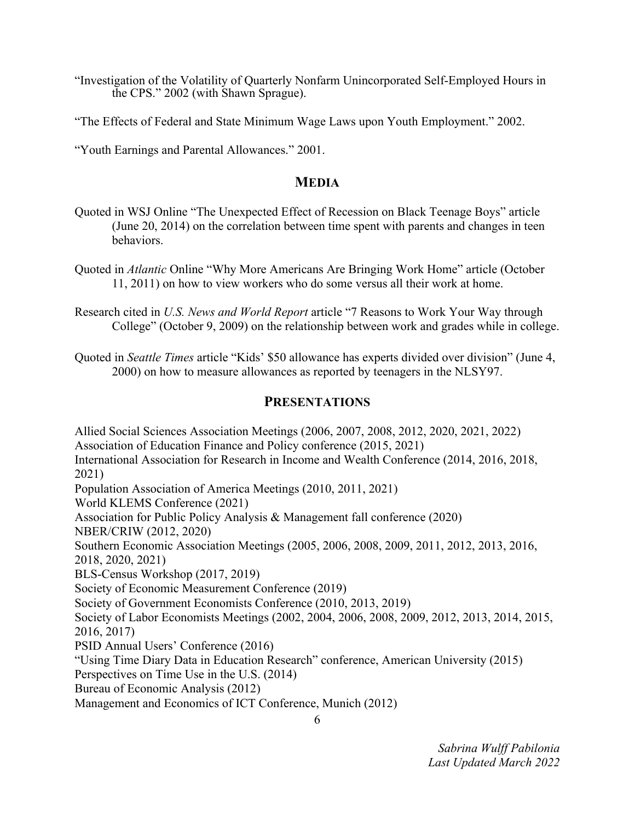"Investigation of the Volatility of Quarterly Nonfarm Unincorporated Self-Employed Hours in the CPS." 2002 (with Shawn Sprague).

"The Effects of Federal and State Minimum Wage Laws upon Youth Employment." 2002.

"Youth Earnings and Parental Allowances." 2001.

## **MEDIA**

- Quoted in WSJ Online "The Unexpected Effect of Recession on Black Teenage Boys" article (June 20, 2014) on the correlation between time spent with parents and changes in teen behaviors.
- Quoted in *Atlantic* Online "Why More Americans Are Bringing Work Home" article (October 11, 2011) on how to view workers who do some versus all their work at home.
- Research cited in *U.S. News and World Report* article "7 Reasons to Work Your Way through College" (October 9, 2009) on the relationship between work and grades while in college.
- Quoted in *Seattle Times* article "Kids' \$50 allowance has experts divided over division" (June 4, 2000) on how to measure allowances as reported by teenagers in the NLSY97.

#### **PRESENTATIONS**

Allied Social Sciences Association Meetings (2006, 2007, 2008, 2012, 2020, 2021, 2022) Association of Education Finance and Policy conference (2015, 2021) International Association for Research in Income and Wealth Conference (2014, 2016, 2018, 2021) Population Association of America Meetings (2010, 2011, 2021) World KLEMS Conference (2021) Association for Public Policy Analysis & Management fall conference (2020) NBER/CRIW (2012, 2020) Southern Economic Association Meetings (2005, 2006, 2008, 2009, 2011, 2012, 2013, 2016, 2018, 2020, 2021) BLS-Census Workshop (2017, 2019) Society of Economic Measurement Conference (2019) Society of Government Economists Conference (2010, 2013, 2019) Society of Labor Economists Meetings (2002, 2004, 2006, 2008, 2009, 2012, 2013, 2014, 2015, 2016, 2017) PSID Annual Users' Conference (2016) "Using Time Diary Data in Education Research" conference, American University (2015) Perspectives on Time Use in the U.S. (2014) Bureau of Economic Analysis (2012) Management and Economics of ICT Conference, Munich (2012)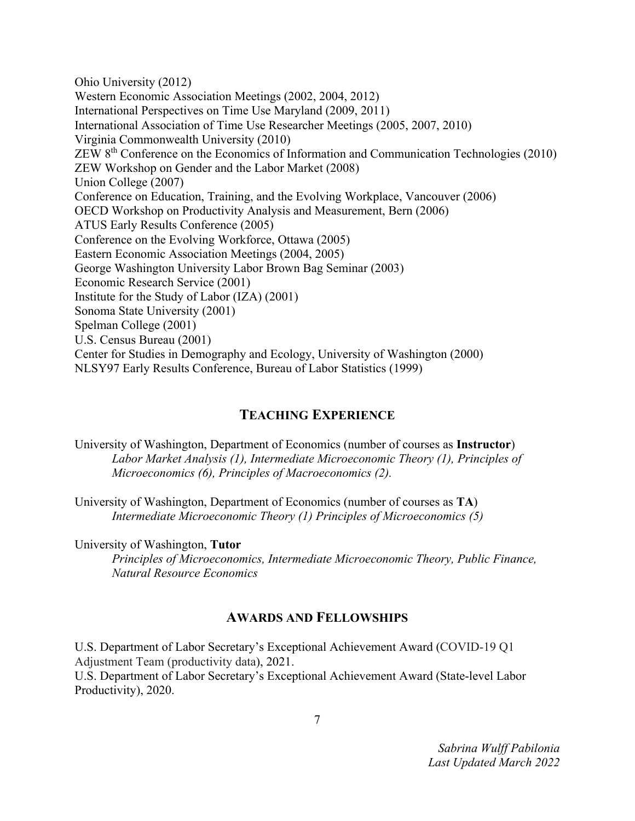Ohio University (2012) Western Economic Association Meetings (2002, 2004, 2012) International Perspectives on Time Use Maryland (2009, 2011) International Association of Time Use Researcher Meetings (2005, 2007, 2010) Virginia Commonwealth University (2010) ZEW 8th Conference on the Economics of Information and Communication Technologies (2010) ZEW Workshop on Gender and the Labor Market (2008) Union College (2007) Conference on Education, Training, and the Evolving Workplace, Vancouver (2006) OECD Workshop on Productivity Analysis and Measurement, Bern (2006) ATUS Early Results Conference (2005) Conference on the Evolving Workforce, Ottawa (2005) Eastern Economic Association Meetings (2004, 2005) George Washington University Labor Brown Bag Seminar (2003) Economic Research Service (2001) Institute for the Study of Labor (IZA) (2001) Sonoma State University (2001) Spelman College (2001) U.S. Census Bureau (2001) Center for Studies in Demography and Ecology, University of Washington (2000) NLSY97 Early Results Conference, Bureau of Labor Statistics (1999)

## **TEACHING EXPERIENCE**

University of Washington, Department of Economics (number of courses as **Instructor**) *Labor Market Analysis (1), Intermediate Microeconomic Theory (1), Principles of Microeconomics (6), Principles of Macroeconomics (2).* 

University of Washington, Department of Economics (number of courses as **TA**) *Intermediate Microeconomic Theory (1) Principles of Microeconomics (5)* 

University of Washington, **Tutor**

*Principles of Microeconomics, Intermediate Microeconomic Theory, Public Finance, Natural Resource Economics* 

## **AWARDS AND FELLOWSHIPS**

U.S. Department of Labor Secretary's Exceptional Achievement Award (COVID-19 Q1 Adjustment Team (productivity data), 2021. U.S. Department of Labor Secretary's Exceptional Achievement Award (State-level Labor Productivity), 2020.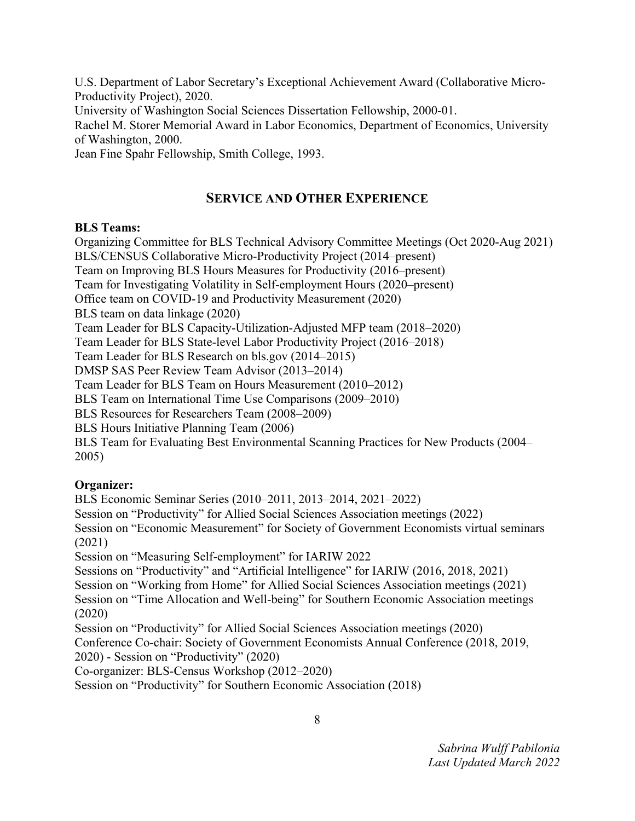U.S. Department of Labor Secretary's Exceptional Achievement Award (Collaborative Micro-Productivity Project), 2020.

University of Washington Social Sciences Dissertation Fellowship, 2000-01.

Rachel M. Storer Memorial Award in Labor Economics, Department of Economics, University of Washington, 2000.

Jean Fine Spahr Fellowship, Smith College, 1993.

# **SERVICE AND OTHER EXPERIENCE**

#### **BLS Teams:**

Organizing Committee for BLS Technical Advisory Committee Meetings (Oct 2020-Aug 2021) BLS/CENSUS Collaborative Micro-Productivity Project (2014–present) Team on Improving BLS Hours Measures for Productivity (2016–present) Team for Investigating Volatility in Self-employment Hours (2020–present) Office team on COVID-19 and Productivity Measurement (2020) BLS team on data linkage (2020) Team Leader for BLS Capacity-Utilization-Adjusted MFP team (2018–2020) Team Leader for BLS State-level Labor Productivity Project (2016–2018) Team Leader for BLS Research on bls.gov (2014–2015) DMSP SAS Peer Review Team Advisor (2013–2014) Team Leader for BLS Team on Hours Measurement (2010–2012) BLS Team on International Time Use Comparisons (2009–2010) BLS Resources for Researchers Team (2008–2009) BLS Hours Initiative Planning Team (2006) BLS Team for Evaluating Best Environmental Scanning Practices for New Products (2004– 2005)

## **Organizer:**

BLS Economic Seminar Series (2010–2011, 2013–2014, 2021–2022)

Session on "Productivity" for Allied Social Sciences Association meetings (2022)

Session on "Economic Measurement" for Society of Government Economists virtual seminars (2021)

Session on "Measuring Self-employment" for IARIW 2022

Sessions on "Productivity" and "Artificial Intelligence" for IARIW (2016, 2018, 2021) Session on "Working from Home" for Allied Social Sciences Association meetings (2021) Session on "Time Allocation and Well-being" for Southern Economic Association meetings (2020)

Session on "Productivity" for Allied Social Sciences Association meetings (2020) Conference Co-chair: Society of Government Economists Annual Conference (2018, 2019, 2020) - Session on "Productivity" (2020)

Co-organizer: BLS-Census Workshop (2012–2020)

Session on "Productivity" for Southern Economic Association (2018)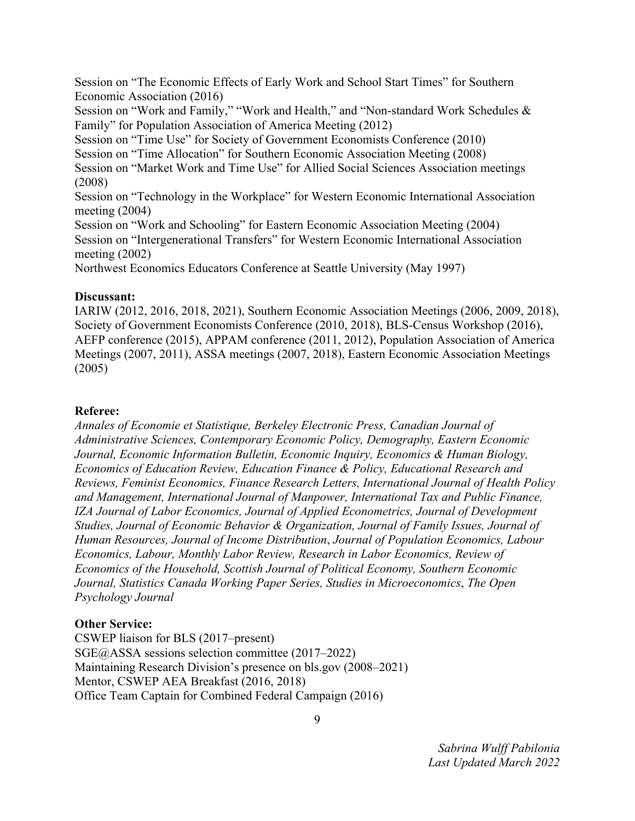Session on "The Economic Effects of Early Work and School Start Times" for Southern Economic Association (2016)

Session on "Work and Family," "Work and Health," and "Non-standard Work Schedules & Family" for Population Association of America Meeting (2012)

Session on "Time Use" for Society of Government Economists Conference (2010)

Session on "Time Allocation" for Southern Economic Association Meeting (2008)

Session on "Market Work and Time Use" for Allied Social Sciences Association meetings (2008)

Session on "Technology in the Workplace" for Western Economic International Association meeting (2004)

Session on "Work and Schooling" for Eastern Economic Association Meeting (2004) Session on "Intergenerational Transfers" for Western Economic International Association meeting (2002)

Northwest Economics Educators Conference at Seattle University (May 1997)

#### **Discussant:**

IARIW (2012, 2016, 2018, 2021), Southern Economic Association Meetings (2006, 2009, 2018), Society of Government Economists Conference (2010, 2018), BLS-Census Workshop (2016), AEFP conference (2015), APPAM conference (2011, 2012), Population Association of America Meetings (2007, 2011), ASSA meetings (2007, 2018), Eastern Economic Association Meetings (2005)

#### **Referee:**

*Annales of Economie et Statistique, Berkeley Electronic Press, Canadian Journal of Administrative Sciences, Contemporary Economic Policy, Demography, Eastern Economic Journal, Economic Information Bulletin, Economic Inquiry, Economics & Human Biology, Economics of Education Review, Education Finance & Policy, Educational Research and Reviews, Feminist Economics, Finance Research Letters, International Journal of Health Policy and Management, International Journal of Manpower, International Tax and Public Finance, IZA Journal of Labor Economics, Journal of Applied Econometrics, Journal of Development Studies, Journal of Economic Behavior & Organization, Journal of Family Issues, Journal of Human Resources, Journal of Income Distribution*, *Journal of Population Economics, Labour Economics, Labour, Monthly Labor Review, Research in Labor Economics, Review of Economics of the Household, Scottish Journal of Political Economy, Southern Economic Journal, Statistics Canada Working Paper Series, Studies in Microeconomics*, *The Open Psychology Journal* 

## **Other Service:**

CSWEP liaison for BLS (2017–present) SGE@ASSA sessions selection committee (2017–2022) Maintaining Research Division's presence on bls.gov (2008–2021) Mentor, CSWEP AEA Breakfast (2016, 2018) Office Team Captain for Combined Federal Campaign (2016)